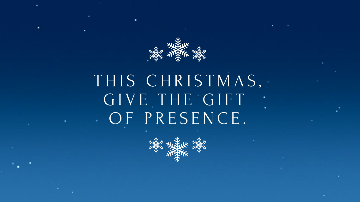

## THIS CHRISTMAS, G I V E T H E G I F T OF PRESENCE.

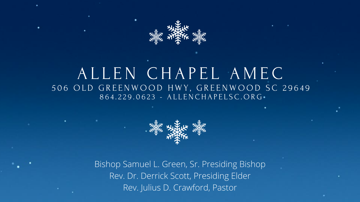

## A L L E N C H A P E L A M E C 506 OLD GREENWOOD HWY, GREENWOOD SC 29649 8 6 4 . 2 2 9 . 0 6 2 3 - A L L E N C H A P E L S C . O R G



Bishop Samuel L. Green, Sr. Presiding Bishop Rev. Dr. Derrick Scott, Presiding Elder Rev. Julius D. Crawford, Pastor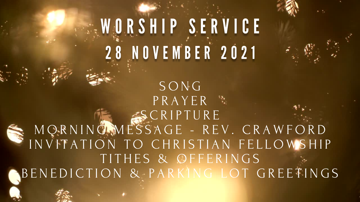# WORSHIP SERVICE 28 NOVEMBER 2021

S O N G P R A Y E R S C R I P T U R E M Q R N I N G M E S S A G E - R E V . C R A W F O R D I N V I T A T I O N T O C H R I S T I A N F E L L O W S H I P TITHES & OFFERINGS B E N E D I C T I O N & P A R K I N G L O T G R E E T I N G S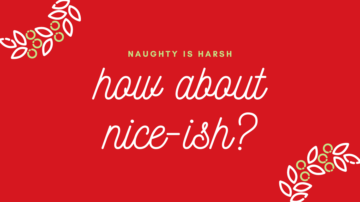

### N A U G H T Y IS HARSH

how about

# nice-ish?



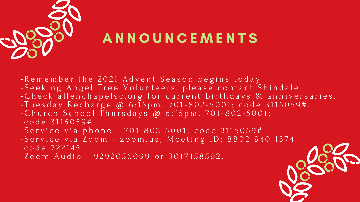

## A N N O U N C E M E N T S

- Remember the 2021 Advent Season begins today - Seeking Angel Tree Volunteers, please contact Shindale. - C h e c k all en chapels c . org for current birthdays & anniversaries.  $- T$  u e s d a y R e c h a r g e @  $6:15$  pm.  $701-802-5001$ ; c o d e 3115059#.  $-$  C h u r c h S c h o o l T h u r s d a y s @  $6:15$  p m .  $701-802-5001$ ; code 3115059#.
- S e r v i c e v i a p h o n e  $-701 802 5001$ ; c o d e 3115059#.
- S e r v i c e v i a Z o o m z o o m . u s; M e e t i n g I D : 8 8 0 2 9 4 0 1 3 7 4 c o d e 722145
- Zoom Audio 9292056099 or 3017158592.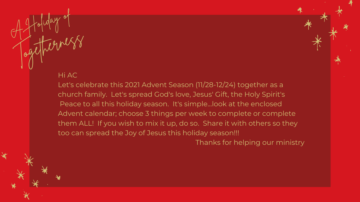<sup>A</sup> Holiday of

Togetherness

#### Hi AC

Let's celebrate this 2021 Advent Season (11/28-12/24) together as a church family. Let's spread God's love, Jesus' Gift, the Holy Spirit's Peace to all this holiday season. It's simple...look at the enclosed Advent calendar; choose 3 things per week to complete or complete them ALL! If you wish to mix it up, do so. Share it with others so they too can spread the Joy of Jesus this holiday season!!! Thanks for helping our ministry